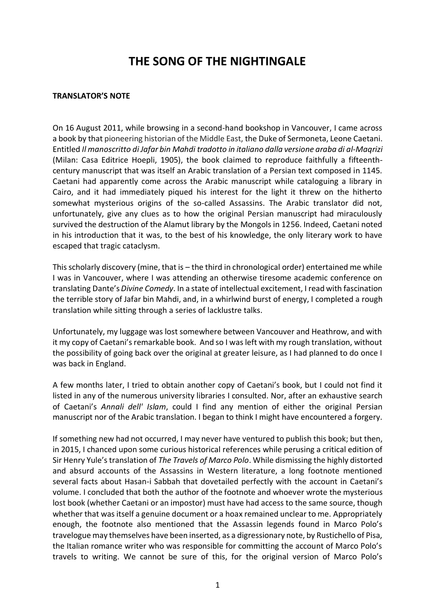## **THE SONG OF THE NIGHTINGALE**

## **TRANSLATOR'S NOTE**

On 16 August 2011, while browsing in a second-hand bookshop in Vancouver, I came across a book by that pioneering historian of the Middle East, the Duke of Sermoneta, Leone Caetani. Entitled *Il manoscritto di Jafar bin Mahdi tradotto in italiano dalla versione araba di al-Maqrizi* (Milan: Casa Editrice Hoepli, 1905), the book claimed to reproduce faithfully a fifteenthcentury manuscript that was itself an Arabic translation of a Persian text composed in 1145. Caetani had apparently come across the Arabic manuscript while cataloguing a library in Cairo, and it had immediately piqued his interest for the light it threw on the hitherto somewhat mysterious origins of the so-called Assassins. The Arabic translator did not, unfortunately, give any clues as to how the original Persian manuscript had miraculously survived the destruction of the Alamut library by the Mongols in 1256. Indeed, Caetani noted in his introduction that it was, to the best of his knowledge, the only literary work to have escaped that tragic cataclysm.

This scholarly discovery (mine, that is – the third in chronological order) entertained me while I was in Vancouver, where I was attending an otherwise tiresome academic conference on translating Dante's *Divine Comedy*. In a state of intellectual excitement, I read with fascination the terrible story of Jafar bin Mahdi, and, in a whirlwind burst of energy, I completed a rough translation while sitting through a series of lacklustre talks.

Unfortunately, my luggage was lost somewhere between Vancouver and Heathrow, and with it my copy of Caetani's remarkable book. And so I was left with my rough translation, without the possibility of going back over the original at greater leisure, as I had planned to do once I was back in England.

A few months later, I tried to obtain another copy of Caetani's book, but I could not find it listed in any of the numerous university libraries I consulted. Nor, after an exhaustive search of Caetani's *Annali dell' Islam*, could I find any mention of either the original Persian manuscript nor of the Arabic translation. I began to think I might have encountered a forgery.

If something new had not occurred, I may never have ventured to publish this book; but then, in 2015, I chanced upon some curious historical references while perusing a critical edition of Sir Henry Yule's translation of *The Travels of Marco Polo*. While dismissing the highly distorted and absurd accounts of the Assassins in Western literature, a long footnote mentioned several facts about Hasan-i Sabbah that dovetailed perfectly with the account in Caetani's volume. I concluded that both the author of the footnote and whoever wrote the mysterious lost book (whether Caetani or an impostor) must have had access to the same source, though whether that was itself a genuine document or a hoax remained unclear to me. Appropriately enough, the footnote also mentioned that the Assassin legends found in Marco Polo's travelogue may themselves have been inserted, as a digressionary note, by Rustichello of Pisa, the Italian romance writer who was responsible for committing the account of Marco Polo's travels to writing. We cannot be sure of this, for the original version of Marco Polo's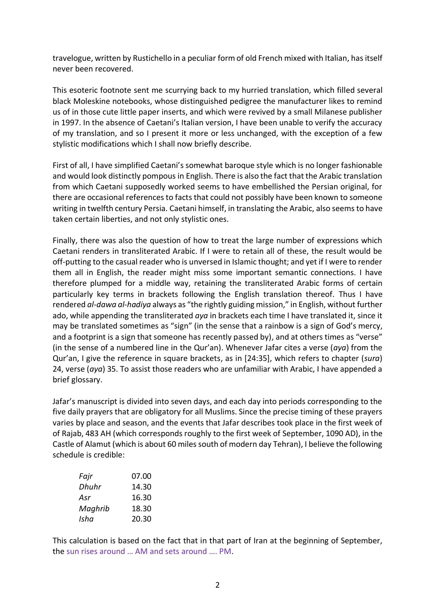travelogue, written by Rustichello in a peculiar form of old French mixed with Italian, has itself never been recovered.

This esoteric footnote sent me scurrying back to my hurried translation, which filled several black Moleskine notebooks, whose distinguished pedigree the manufacturer likes to remind us of in those cute little paper inserts, and which were revived by a small Milanese publisher in 1997. In the absence of Caetani's Italian version, I have been unable to verify the accuracy of my translation, and so I present it more or less unchanged, with the exception of a few stylistic modifications which I shall now briefly describe.

First of all, I have simplified Caetani's somewhat baroque style which is no longer fashionable and would look distinctly pompous in English. There is also the fact that the Arabic translation from which Caetani supposedly worked seems to have embellished the Persian original, for there are occasional references to facts that could not possibly have been known to someone writing in twelfth century Persia. Caetani himself, in translating the Arabic, also seems to have taken certain liberties, and not only stylistic ones.

Finally, there was also the question of how to treat the large number of expressions which Caetani renders in transliterated Arabic. If I were to retain all of these, the result would be off-putting to the casual reader who is unversed in Islamic thought; and yet if I were to render them all in English, the reader might miss some important semantic connections. I have therefore plumped for a middle way, retaining the transliterated Arabic forms of certain particularly key terms in brackets following the English translation thereof. Thus I have rendered *al-dawa al-hadiya* always as "the rightly guiding mission," in English, without further ado, while appending the transliterated *aya* in brackets each time I have translated it, since it may be translated sometimes as "sign" (in the sense that a rainbow is a sign of God's mercy, and a footprint is a sign that someone has recently passed by), and at others times as "verse" (in the sense of a numbered line in the Qur'an). Whenever Jafar cites a verse (*aya*) from the Qur'an, I give the reference in square brackets, as in [24:35], which refers to chapter (*sura*) 24, verse (*aya*) 35. To assist those readers who are unfamiliar with Arabic, I have appended a brief glossary.

Jafar's manuscript is divided into seven days, and each day into periods corresponding to the five daily prayers that are obligatory for all Muslims. Since the precise timing of these prayers varies by place and season, and the events that Jafar describes took place in the first week of of Rajab, 483 AH (which corresponds roughly to the first week of September, 1090 AD), in the Castle of Alamut (which is about 60 miles south of modern day Tehran), I believe the following schedule is credible:

| Fajr    | 07.00 |
|---------|-------|
| Dhuhr   | 14.30 |
| Asr     | 16.30 |
| Maghrib | 18.30 |
| Isha    | 20.30 |

This calculation is based on the fact that in that part of Iran at the beginning of September, the sun rises around … AM and sets around …. PM.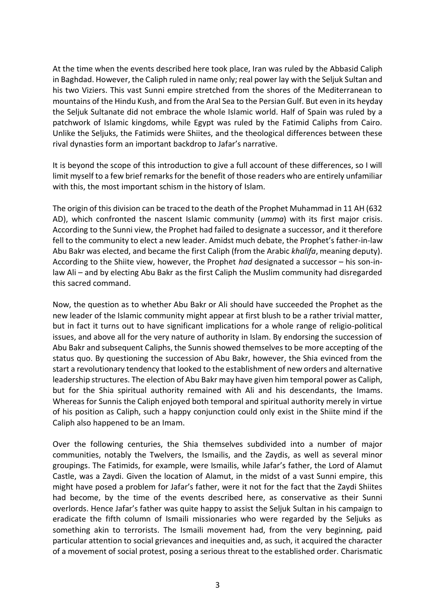At the time when the events described here took place, Iran was ruled by the Abbasid Caliph in Baghdad. However, the Caliph ruled in name only; real power lay with the Seljuk Sultan and his two Viziers. This vast Sunni empire stretched from the shores of the Mediterranean to mountains of the Hindu Kush, and from the Aral Sea to the Persian Gulf. But even in its heyday the Seljuk Sultanate did not embrace the whole Islamic world. Half of Spain was ruled by a patchwork of Islamic kingdoms, while Egypt was ruled by the Fatimid Caliphs from Cairo. Unlike the Seljuks, the Fatimids were Shiites, and the theological differences between these rival dynasties form an important backdrop to Jafar's narrative.

It is beyond the scope of this introduction to give a full account of these differences, so I will limit myself to a few brief remarks for the benefit of those readers who are entirely unfamiliar with this, the most important schism in the history of Islam.

The origin of this division can be traced to the death of the Prophet Muhammad in 11 AH (632 AD), which confronted the nascent Islamic community (*umma*) with its first major crisis. According to the Sunni view, the Prophet had failed to designate a successor, and it therefore fell to the community to elect a new leader. Amidst much debate, the Prophet's father-in-law Abu Bakr was elected, and became the first Caliph (from the Arabic *khalifa*, meaning deputy). According to the Shiite view, however, the Prophet *had* designated a successor – his son-inlaw Ali – and by electing Abu Bakr as the first Caliph the Muslim community had disregarded this sacred command.

Now, the question as to whether Abu Bakr or Ali should have succeeded the Prophet as the new leader of the Islamic community might appear at first blush to be a rather trivial matter, but in fact it turns out to have significant implications for a whole range of religio-political issues, and above all for the very nature of authority in Islam. By endorsing the succession of Abu Bakr and subsequent Caliphs, the Sunnis showed themselves to be more accepting of the status quo. By questioning the succession of Abu Bakr, however, the Shia evinced from the start a revolutionary tendency that looked to the establishment of new orders and alternative leadership structures. The election of Abu Bakr may have given him temporal power as Caliph, but for the Shia spiritual authority remained with Ali and his descendants, the Imams. Whereas for Sunnis the Caliph enjoyed both temporal and spiritual authority merely in virtue of his position as Caliph, such a happy conjunction could only exist in the Shiite mind if the Caliph also happened to be an Imam.

Over the following centuries, the Shia themselves subdivided into a number of major communities, notably the Twelvers, the Ismailis, and the Zaydis, as well as several minor groupings. The Fatimids, for example, were Ismailis, while Jafar's father, the Lord of Alamut Castle, was a Zaydi. Given the location of Alamut, in the midst of a vast Sunni empire, this might have posed a problem for Jafar's father, were it not for the fact that the Zaydi Shiites had become, by the time of the events described here, as conservative as their Sunni overlords. Hence Jafar's father was quite happy to assist the Seljuk Sultan in his campaign to eradicate the fifth column of Ismaili missionaries who were regarded by the Seljuks as something akin to terrorists. The Ismaili movement had, from the very beginning, paid particular attention to social grievances and inequities and, as such, it acquired the character of a movement of social protest, posing a serious threat to the established order. Charismatic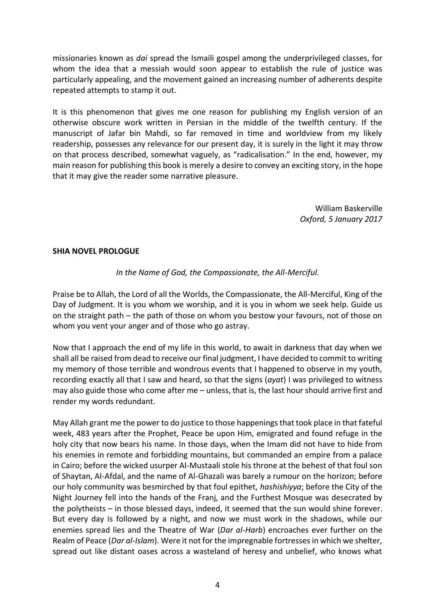missionaries known as *dai* spread the Ismaili gospel among the underprivileged classes, for whom the idea that a messiah would soon appear to establish the rule of justice was particularly appealing, and the movement gained an increasing number of adherents despite repeated attempts to stamp it out.

It is this phenomenon that gives me one reason for publishing my English version of an otherwise obscure work written in Persian in the middle of the twelfth century. If the manuscript of Jafar bin Mahdi, so far removed in time and worldview from my likely readership, possesses any relevance for our present day, it is surely in the light it may throw on that process described, somewhat vaguely, as "radicalisation." In the end, however, my main reason for publishing this book is merely a desire to convey an exciting story, in the hope that it may give the reader some narrative pleasure.

> William Baskerville *Oxford, 5 January 2017*

## **SHIA NOVEL PROLOGUE**

## *In the Name of God, the Compassionate, the All-Merciful.*

Praise be to Allah, the Lord of all the Worlds, the Compassionate, the All-Merciful, King of the Day of Judgment. It is you whom we worship, and it is you in whom we seek help. Guide us on the straight path – the path of those on whom you bestow your favours, not of those on whom you vent your anger and of those who go astray.

Now that I approach the end of my life in this world, to await in darkness that day when we shall all be raised from dead to receive our final judgment, I have decided to commit to writing my memory of those terrible and wondrous events that I happened to observe in my youth, recording exactly all that I saw and heard, so that the signs (*ayat*) I was privileged to witness may also guide those who come after me – unless, that is, the last hour should arrive first and render my words redundant.

May Allah grant me the power to do justice to those happenings that took place in that fateful week, 483 years after the Prophet, Peace be upon Him, emigrated and found refuge in the holy city that now bears his name. In those days, when the Imam did not have to hide from his enemies in remote and forbidding mountains, but commanded an empire from a palace in Cairo; before the wicked usurper Al-Mustaali stole his throne at the behest of that foul son of Shaytan, Al-Afdal, and the name of Al-Ghazali was barely a rumour on the horizon; before our holy community was besmirched by that foul epithet, *hashishiyya*; before the City of the Night Journey fell into the hands of the Franj, and the Furthest Mosque was desecrated by the polytheists – in those blessed days, indeed, it seemed that the sun would shine forever. But every day is followed by a night, and now we must work in the shadows, while our enemies spread lies and the Theatre of War (*Dar al-Harb*) encroaches ever further on the Realm of Peace (*Dar al-Islam*). Were it not for the impregnable fortresses in which we shelter, spread out like distant oases across a wasteland of heresy and unbelief, who knows what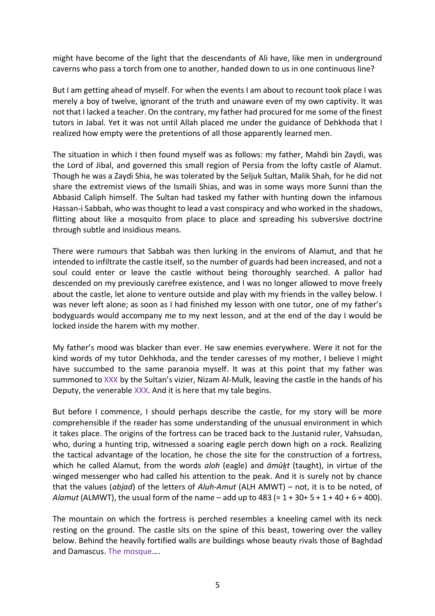might have become of the light that the descendants of Ali have, like men in underground caverns who pass a torch from one to another, handed down to us in one continuous line?

But I am getting ahead of myself. For when the events I am about to recount took place I was merely a boy of twelve, ignorant of the truth and unaware even of my own captivity. It was not that I lacked a teacher. On the contrary, my father had procured for me some of the finest tutors in Jabal. Yet it was not until Allah placed me under the guidance of Dehkhoda that I realized how empty were the pretentions of all those apparently learned men.

The situation in which I then found myself was as follows: my father, Mahdi bin Zaydi, was the Lord of Jibal, and governed this small region of Persia from the lofty castle of Alamut. Though he was a Zaydi Shia, he was tolerated by the Seljuk Sultan, Malik Shah, for he did not share the extremist views of the Ismaili Shias, and was in some ways more Sunni than the Abbasid Caliph himself. The Sultan had tasked my father with hunting down the infamous Hassan-i Sabbah, who was thought to lead a vast conspiracy and who worked in the shadows, flitting about like a mosquito from place to place and spreading his subversive doctrine through subtle and insidious means.

There were rumours that Sabbah was then lurking in the environs of Alamut, and that he intended to infiltrate the castle itself, so the number of guards had been increased, and not a soul could enter or leave the castle without being thoroughly searched. A pallor had descended on my previously carefree existence, and I was no longer allowed to move freely about the castle, let alone to venture outside and play with my friends in the valley below. I was never left alone; as soon as I had finished my lesson with one tutor, one of my father's bodyguards would accompany me to my next lesson, and at the end of the day I would be locked inside the harem with my mother.

My father's mood was blacker than ever. He saw enemies everywhere. Were it not for the kind words of my tutor Dehkhoda, and the tender caresses of my mother, I believe I might have succumbed to the same paranoia myself. It was at this point that my father was summoned to XXX by the Sultan's vizier, Nizam Al-Mulk, leaving the castle in the hands of his Deputy, the venerable XXX. And it is here that my tale begins.

But before I commence, I should perhaps describe the castle, for my story will be more comprehensible if the reader has some understanding of the unusual environment in which it takes place. The origins of the fortress can be traced back to the Justanid ruler, Vahsudan, who, during a hunting trip, witnessed a soaring eagle perch down high on a rock. Realizing the tactical advantage of the location, he chose the site for the construction of a fortress, which he called Alamut, from the words *aloh* (eagle) and *āmūḵt* (taught), in virtue of the winged messenger who had called his attention to the peak. And it is surely not by chance that the values (*abjad*) of the letters of *Aluh-Amut* (ALH AMWT) – not, it is to be noted, of *Alamut* (ALMWT), the usual form of the name – add up to 483 (= 1 + 30+ 5 + 1 + 40 + 6 + 400).

The mountain on which the fortress is perched resembles a kneeling camel with its neck resting on the ground. The castle sits on the spine of this beast, towering over the valley below. Behind the heavily fortified walls are buildings whose beauty rivals those of Baghdad and Damascus. The mosque….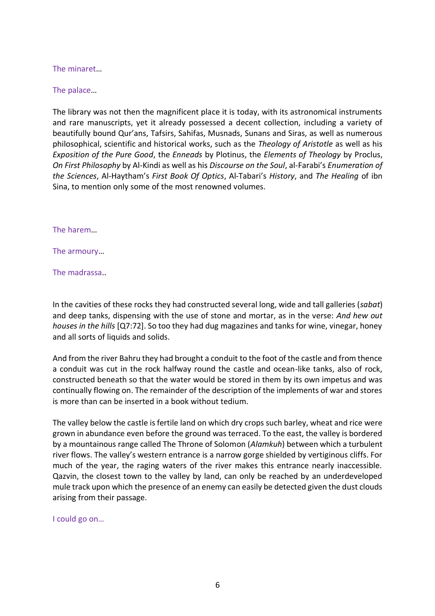The minaret…

The palace…

The library was not then the magnificent place it is today, with its astronomical instruments and rare manuscripts, yet it already possessed a decent collection, including a variety of beautifully bound Qur'ans, Tafsirs, Sahifas, Musnads, Sunans and Siras, as well as numerous philosophical, scientific and historical works, such as the *Theology of Aristotle* as well as his *Exposition of the Pure Good*, the *Enneads* by Plotinus, the *Elements of Theology* by Proclus, *On First Philosophy* by Al-Kindi as well as his *Discourse on the Soul*, al-Farabi's *Enumeration of the Sciences*, Al-Haytham's *First Book Of Optics*, Al-Tabari's *History*, and *The Healing* of ibn Sina, to mention only some of the most renowned volumes.

The harem…

The armoury…

The madrassa..

In the cavities of these rocks they had constructed several long, wide and tall galleries (*sabat*) and deep tanks, dispensing with the use of stone and mortar, as in the verse: *And hew out houses in the hills* [Q7:72]. So too they had dug magazines and tanks for wine, vinegar, honey and all sorts of liquids and solids.

And from the river Bahru they had brought a conduit to the foot of the castle and from thence a conduit was cut in the rock halfway round the castle and ocean-like tanks, also of rock, constructed beneath so that the water would be stored in them by its own impetus and was continually flowing on. The remainder of the description of the implements of war and stores is more than can be inserted in a book without tedium.

The valley below the castle is fertile land on which dry crops such barley, wheat and rice were grown in abundance even before the ground was terraced. To the east, the valley is bordered by a mountainous range called The Throne of Solomon (*Alamkuh*) between which a turbulent river flows. The valley's western entrance is a narrow gorge shielded by vertiginous cliffs. For much of the year, the raging waters of the river makes this entrance nearly inaccessible. Qazvin, the closest town to the valley by land, can only be reached by an underdeveloped mule track upon which the presence of an enemy can easily be detected given the dust clouds arising from their passage.

I could go on…